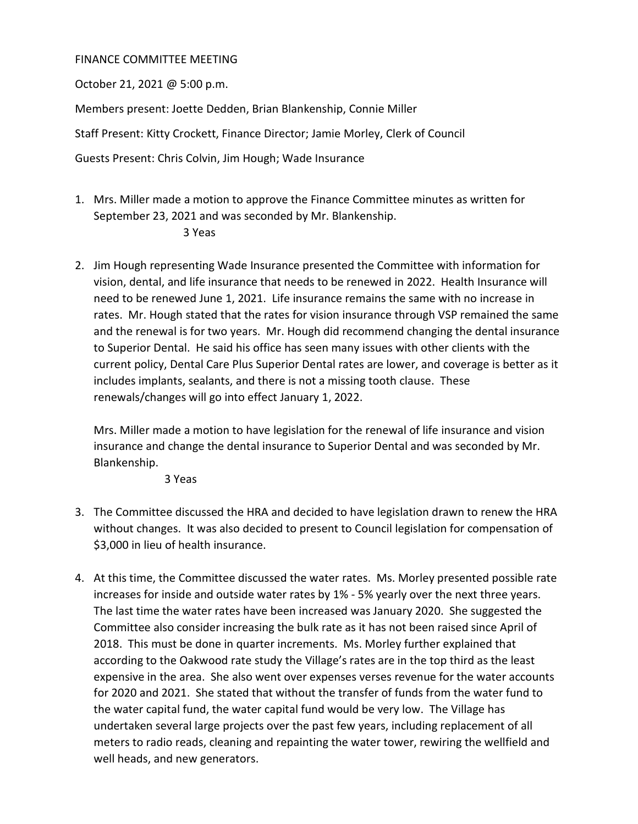## FINANCE COMMITTEE MEETING

October 21, 2021 @ 5:00 p.m.

Members present: Joette Dedden, Brian Blankenship, Connie Miller Staff Present: Kitty Crockett, Finance Director; Jamie Morley, Clerk of Council Guests Present: Chris Colvin, Jim Hough; Wade Insurance

- 1. Mrs. Miller made a motion to approve the Finance Committee minutes as written for September 23, 2021 and was seconded by Mr. Blankenship. 3 Yeas
- 2. Jim Hough representing Wade Insurance presented the Committee with information for vision, dental, and life insurance that needs to be renewed in 2022. Health Insurance will need to be renewed June 1, 2021. Life insurance remains the same with no increase in rates. Mr. Hough stated that the rates for vision insurance through VSP remained the same and the renewal is for two years. Mr. Hough did recommend changing the dental insurance to Superior Dental. He said his office has seen many issues with other clients with the current policy, Dental Care Plus Superior Dental rates are lower, and coverage is better as it includes implants, sealants, and there is not a missing tooth clause. These renewals/changes will go into effect January 1, 2022.

Mrs. Miller made a motion to have legislation for the renewal of life insurance and vision insurance and change the dental insurance to Superior Dental and was seconded by Mr. Blankenship.

3 Yeas

- 3. The Committee discussed the HRA and decided to have legislation drawn to renew the HRA without changes. It was also decided to present to Council legislation for compensation of \$3,000 in lieu of health insurance.
- 4. At this time, the Committee discussed the water rates. Ms. Morley presented possible rate increases for inside and outside water rates by 1% - 5% yearly over the next three years. The last time the water rates have been increased was January 2020. She suggested the Committee also consider increasing the bulk rate as it has not been raised since April of 2018. This must be done in quarter increments. Ms. Morley further explained that according to the Oakwood rate study the Village's rates are in the top third as the least expensive in the area. She also went over expenses verses revenue for the water accounts for 2020 and 2021. She stated that without the transfer of funds from the water fund to the water capital fund, the water capital fund would be very low. The Village has undertaken several large projects over the past few years, including replacement of all meters to radio reads, cleaning and repainting the water tower, rewiring the wellfield and well heads, and new generators.